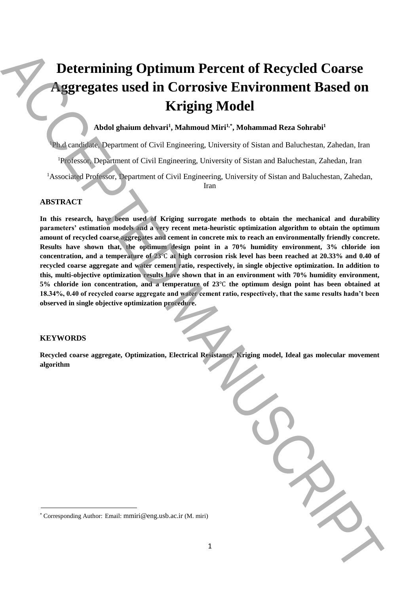# **Determining Optimum Percent of Recycled Coarse Aggregates used in Corrosive Environment Based on Kriging Model**

# **Abdol ghaium dehvari<sup>1</sup> , Mahmoud Miri1,\* , Mohammad Reza Sohrabi<sup>1</sup>**

<sup>1</sup>Ph.d candidate, Department of Civil Engineering, University of Sistan and Baluchestan, Zahedan, Iran

<sup>1</sup>Professor, Department of Civil Engineering, University of Sistan and Baluchestan, Zahedan, Iran

<sup>1</sup>Associated Professor, Department of Civil Engineering, University of Sistan and Baluchestan, Zahedan,

Iran

# **ABSTRACT**

**In this research, have been used of Kriging surrogate methods to obtain the mechanical and durability parameters' estimation models and a very recent meta-heuristic optimization algorithm to obtain the optimum amount of recycled coarse aggregates and cement in concrete mix to reach an environmentally friendly concrete. Results have shown that, the optimum design point in a 70% humidity environment, 3% chloride ion concentration, and a temperature of 23**℃ **at high corrosion risk level has been reached at 20.33% and 0.40 of recycled coarse aggregate and water cement ratio, respectively, in single objective optimization. In addition to this, multi-objective optimization results have shown that in an environment with 70% humidity environment, 5% chloride ion concentration, and a temperature of 23**℃ **the optimum design point has been obtained at 18.34%, 0.40 of recycled coarse aggregate and water cement ratio, respectively, that the same results hadn't been observed in single objective optimization procedure. Example 2011** Determining Optimum Percent of Recycled Coarse<br> **Argregates used in Corresponding Model**<br> **Author:** Email: Manumat Reas Salam<sup>at</sup><br> **Author:** Authorities *Corresponding Manuscript* (*M. Mirichannis Authoriti* 

## **KEYWORDS**

**Recycled coarse aggregate, Optimization, Electrical Resistance, Kriging model, Ideal gas molecular movement algorithm**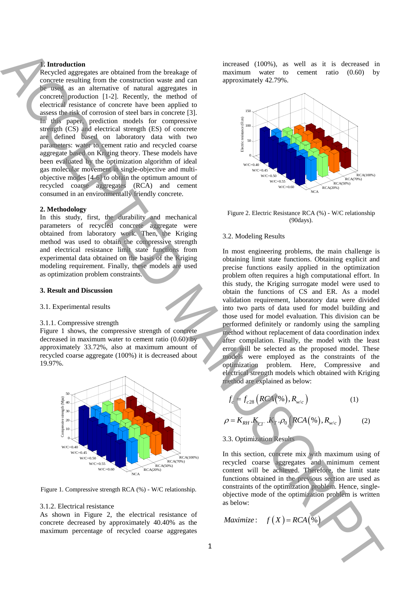### **1. Introduction**

Recycled aggregates are obtained from the breakage of concrete resulting from the construction waste and can be used as an alternative of natural aggregates in concrete production [1-2]. Recently, the method of electrical resistance of concrete have been applied to assess the risk of corrosion of steel bars in concrete [3]. In this paper, prediction models for compressive strength (CS) and electrical strength (ES) of concrete are defined based on laboratory data with two parameters: water to cement ratio and recycled coarse aggregate based on Kriging theory. These models have been evaluated by the optimization algorithm of ideal gas molecular movement in single-objective and multiobjective modes [4-6] to obtain the optimum amount of recycled coarse aggregates (RCA) and cement consumed in an environmentally friendly concrete.

#### **2. Methodology**

In this study, first, the durability and mechanical parameters of recycled concrete aggregate were obtained from laboratory work. Then, the Kriging method was used to obtain the compressive strength and electrical resistance limit state functions from experimental data obtained on the basis of the Kriging modeling requirement. Finally, these models are used as optimization problem constraints.

#### **3. Result and Discussion**

#### 3.1. Experimental results

#### 3.1.1. Compressive strength

Figure 1 shows, the compressive strength of concrete decreased in maximum water to cement ratio (0.60) by approximately 33.72%, also at maximum amount of recycled coarse aggregate (100%) it is decreased about 19.97%.



Figure 1. Compressive strength RCA (%) - W/C relationship.

#### 3.1.2. Electrical resistance

As shown in Figure 2, the electrical resistance of concrete decreased by approximately 40.40% as the maximum percentage of recycled coarse aggregates

increased (100%), as well as it is decreased in maximum water to cement ratio (0.60) by approximately 42.79%.



Figure 2. Electric Resistance RCA (%) - W/C relationship (90days).

## 3.2. Modeling Results

In most engineering problems, the main challenge is obtaining limit state functions. Obtaining explicit and precise functions easily applied in the optimization problem often requires a high computational effort. In this study, the Kriging surrogate model were used to obtain the functions of CS and ER. As a model validation requirement, laboratory data were divided into two parts of data used for model building and those used for model evaluation. This division can be performed definitely or randomly using the sampling method without replacement of data coordination index after compilation. Finally, the model with the least error will be selected as the proposed model. These models were employed as the constraints of the optimization problem. Here, Compressive and electrical strength models which obtained with Kriging method are explained as below: And the same of the same of the same of the same of the same of the same of the same of the same of the same of the same of the same of the same of the same of the same of the same of the same of the same of the same of t

$$
f_c = f_{c28} \left( RCA(\%), R_{w/c} \right) \tag{1}
$$

$$
\rho = K_{RH} \cdot K_{CT} \cdot K_T \cdot \rho_0 \left( RCA(\%) , R_{w/c} \right) \tag{2}
$$

# 3.3. Optimization Results

In this section, concrete mix with maximum using of recycled coarse aggregates and minimum cement content will be achieved. Therefore, the limit state functions obtained in the previous section are used as constraints of the optimization problem. Hence, singleobjective mode of the optimization problem is written as below:

*Maximize f*  $(X) = RCA(\%)$